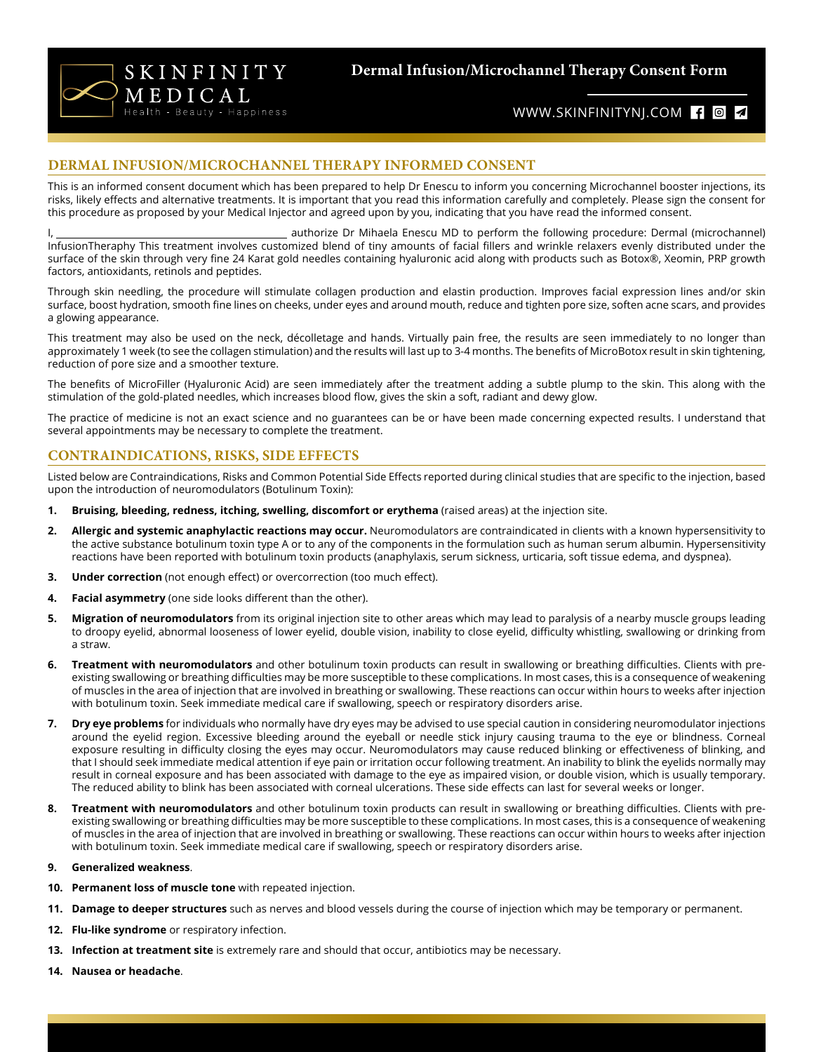

**Dermal Infusion/Microchannel Therapy Consent Form** 

# WWW.SKINFINITYNJ.COM { 0 4

### **DERMAL INFUSION/MICROCHANNEL THERAPY INFORMED CONSENT**

This is an informed consent document which has been prepared to help Dr Enescu to inform you concerning Microchannel booster injections, its risks, likely effects and alternative treatments. It is important that you read this information carefully and completely. Please sign the consent for this procedure as proposed by your Medical Injector and agreed upon by you, indicating that you have read the informed consent.

I, 1. 2008 The metapology of Mihaela Enescu MD to perform the following procedure: Dermal (microchannel) InfusionTheraphy This treatment involves customized blend of tiny amounts of facial fillers and wrinkle relaxers evenly distributed under the surface of the skin through very fine 24 Karat gold needles containing hyaluronic acid along with products such as Botox®, Xeomin, PRP growth factors, antioxidants, retinols and peptides.

Through skin needling, the procedure will stimulate collagen production and elastin production. Improves facial expression lines and/or skin surface, boost hydration, smooth fine lines on cheeks, under eyes and around mouth, reduce and tighten pore size, soften acne scars, and provides a glowing appearance.

This treatment may also be used on the neck, décolletage and hands. Virtually pain free, the results are seen immediately to no longer than approximately 1 week (to see the collagen stimulation) and the results will last up to 3-4 months. The benefits of MicroBotox result in skin tightening, reduction of pore size and a smoother texture.

The benefits of MicroFiller (Hyaluronic Acid) are seen immediately after the treatment adding a subtle plump to the skin. This along with the stimulation of the gold-plated needles, which increases blood flow, gives the skin a soft, radiant and dewy glow.

The practice of medicine is not an exact science and no guarantees can be or have been made concerning expected results. I understand that several appointments may be necessary to complete the treatment.

### **CONTRAINDICATIONS, RISKS, SIDE EFFECTS**

Listed below are Contraindications, Risks and Common Potential Side Effects reported during clinical studies that are specific to the injection, based upon the introduction of neuromodulators (Botulinum Toxin):

- **1. Bruising, bleeding, redness, itching, swelling, discomfort or erythema** (raised areas) at the injection site.
- **2. Allergic and systemic anaphylactic reactions may occur.** Neuromodulators are contraindicated in clients with a known hypersensitivity to the active substance botulinum toxin type A or to any of the components in the formulation such as human serum albumin. Hypersensitivity reactions have been reported with botulinum toxin products (anaphylaxis, serum sickness, urticaria, soft tissue edema, and dyspnea).
- **3. Under correction** (not enough effect) or overcorrection (too much effect).
- **4. Facial asymmetry** (one side looks different than the other).
- **5. Migration of neuromodulators** from its original injection site to other areas which may lead to paralysis of a nearby muscle groups leading to droopy eyelid, abnormal looseness of lower eyelid, double vision, inability to close eyelid, difficulty whistling, swallowing or drinking from a straw.
- **6. Treatment with neuromodulators** and other botulinum toxin products can result in swallowing or breathing difficulties. Clients with preexisting swallowing or breathing difficulties may be more susceptible to these complications. In most cases, this is a consequence of weakening of muscles in the area of injection that are involved in breathing or swallowing. These reactions can occur within hours to weeks after injection with botulinum toxin. Seek immediate medical care if swallowing, speech or respiratory disorders arise.
- **7. Dry eye problems** for individuals who normally have dry eyes may be advised to use special caution in considering neuromodulator injections around the eyelid region. Excessive bleeding around the eyeball or needle stick injury causing trauma to the eye or blindness. Corneal exposure resulting in difficulty closing the eyes may occur. Neuromodulators may cause reduced blinking or effectiveness of blinking, and that I should seek immediate medical attention if eye pain or irritation occur following treatment. An inability to blink the eyelids normally may result in corneal exposure and has been associated with damage to the eye as impaired vision, or double vision, which is usually temporary. The reduced ability to blink has been associated with corneal ulcerations. These side effects can last for several weeks or longer.
- **8. Treatment with neuromodulators** and other botulinum toxin products can result in swallowing or breathing difficulties. Clients with preexisting swallowing or breathing difficulties may be more susceptible to these complications. In most cases, this is a consequence of weakening of muscles in the area of injection that are involved in breathing or swallowing. These reactions can occur within hours to weeks after injection with botulinum toxin. Seek immediate medical care if swallowing, speech or respiratory disorders arise.

#### **9. Generalized weakness**.

- **10. Permanent loss of muscle tone** with repeated injection.
- **11. Damage to deeper structures** such as nerves and blood vessels during the course of injection which may be temporary or permanent.
- **12. Flu-like syndrome** or respiratory infection.
- **13. Infection at treatment site** is extremely rare and should that occur, antibiotics may be necessary.
- **14. Nausea or headache**.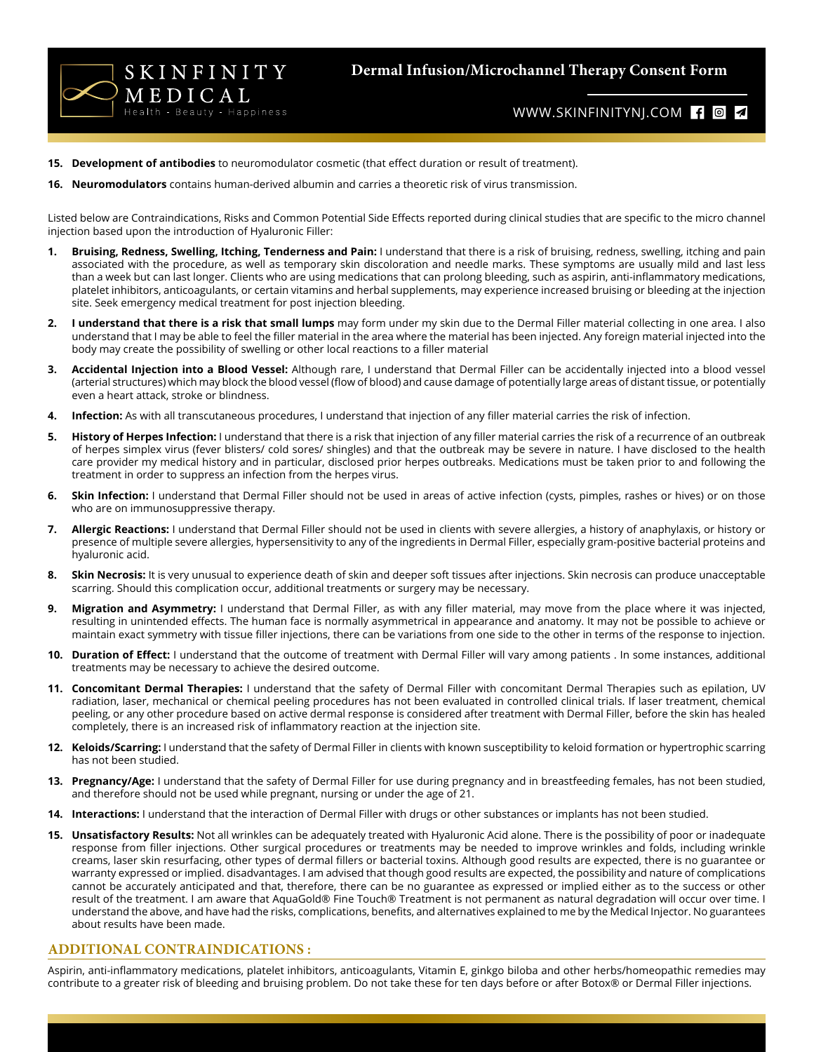

**Dermal Infusion/Microchannel Therapy Consent Form** 

# WWW.SKINFINITYNJ.COM **f d 4**

- **15. Development of antibodies** to neuromodulator cosmetic (that effect duration or result of treatment).
- **16. Neuromodulators** contains human-derived albumin and carries a theoretic risk of virus transmission.

Listed below are Contraindications, Risks and Common Potential Side Effects reported during clinical studies that are specific to the micro channel injection based upon the introduction of Hyaluronic Filler:

- **1. Bruising, Redness, Swelling, Itching, Tenderness and Pain:** I understand that there is a risk of bruising, redness, swelling, itching and pain associated with the procedure, as well as temporary skin discoloration and needle marks. These symptoms are usually mild and last less than a week but can last longer. Clients who are using medications that can prolong bleeding, such as aspirin, anti-inflammatory medications, platelet inhibitors, anticoagulants, or certain vitamins and herbal supplements, may experience increased bruising or bleeding at the injection site. Seek emergency medical treatment for post injection bleeding.
- **2. I understand that there is a risk that small lumps** may form under my skin due to the Dermal Filler material collecting in one area. I also understand that I may be able to feel the filler material in the area where the material has been injected. Any foreign material injected into the body may create the possibility of swelling or other local reactions to a filler material
- **3. Accidental Injection into a Blood Vessel:** Although rare, I understand that Dermal Filler can be accidentally injected into a blood vessel (arterial structures) which may block the blood vessel (flow of blood) and cause damage of potentially large areas of distant tissue, or potentially even a heart attack, stroke or blindness.
- **4. Infection:** As with all transcutaneous procedures, I understand that injection of any filler material carries the risk of infection.
- **5. History of Herpes Infection:** I understand that there is a risk that injection of any filler material carries the risk of a recurrence of an outbreak of herpes simplex virus (fever blisters/ cold sores/ shingles) and that the outbreak may be severe in nature. I have disclosed to the health care provider my medical history and in particular, disclosed prior herpes outbreaks. Medications must be taken prior to and following the treatment in order to suppress an infection from the herpes virus.
- **6. Skin Infection:** I understand that Dermal Filler should not be used in areas of active infection (cysts, pimples, rashes or hives) or on those who are on immunosuppressive therapy.
- **7. Allergic Reactions:** I understand that Dermal Filler should not be used in clients with severe allergies, a history of anaphylaxis, or history or presence of multiple severe allergies, hypersensitivity to any of the ingredients in Dermal Filler, especially gram-positive bacterial proteins and hyaluronic acid.
- **8. Skin Necrosis:** It is very unusual to experience death of skin and deeper soft tissues after injections. Skin necrosis can produce unacceptable scarring. Should this complication occur, additional treatments or surgery may be necessary.
- **9. Migration and Asymmetry:** I understand that Dermal Filler, as with any filler material, may move from the place where it was injected, resulting in unintended effects. The human face is normally asymmetrical in appearance and anatomy. It may not be possible to achieve or maintain exact symmetry with tissue filler injections, there can be variations from one side to the other in terms of the response to injection.
- **10. Duration of Effect:** I understand that the outcome of treatment with Dermal Filler will vary among patients . In some instances, additional treatments may be necessary to achieve the desired outcome.
- **11. Concomitant Dermal Therapies:** I understand that the safety of Dermal Filler with concomitant Dermal Therapies such as epilation, UV radiation, laser, mechanical or chemical peeling procedures has not been evaluated in controlled clinical trials. If laser treatment, chemical peeling, or any other procedure based on active dermal response is considered after treatment with Dermal Filler, before the skin has healed completely, there is an increased risk of inflammatory reaction at the injection site.
- **12. Keloids/Scarring:** I understand that the safety of Dermal Filler in clients with known susceptibility to keloid formation or hypertrophic scarring has not been studied.
- **13. Pregnancy/Age:** I understand that the safety of Dermal Filler for use during pregnancy and in breastfeeding females, has not been studied, and therefore should not be used while pregnant, nursing or under the age of 21.
- **14. Interactions:** I understand that the interaction of Dermal Filler with drugs or other substances or implants has not been studied.
- **15. Unsatisfactory Results:** Not all wrinkles can be adequately treated with Hyaluronic Acid alone. There is the possibility of poor or inadequate response from filler injections. Other surgical procedures or treatments may be needed to improve wrinkles and folds, including wrinkle creams, laser skin resurfacing, other types of dermal fillers or bacterial toxins. Although good results are expected, there is no guarantee or warranty expressed or implied. disadvantages. I am advised that though good results are expected, the possibility and nature of complications cannot be accurately anticipated and that, therefore, there can be no guarantee as expressed or implied either as to the success or other result of the treatment. I am aware that AquaGold® Fine Touch® Treatment is not permanent as natural degradation will occur over time. I understand the above, and have had the risks, complications, benefits, and alternatives explained to me by the Medical Injector. No guarantees about results have been made.

#### **ADDITIONAL CONTRAINDICATIONS :**

Aspirin, anti-inflammatory medications, platelet inhibitors, anticoagulants, Vitamin E, ginkgo biloba and other herbs/homeopathic remedies may contribute to a greater risk of bleeding and bruising problem. Do not take these for ten days before or after Botox® or Dermal Filler injections.